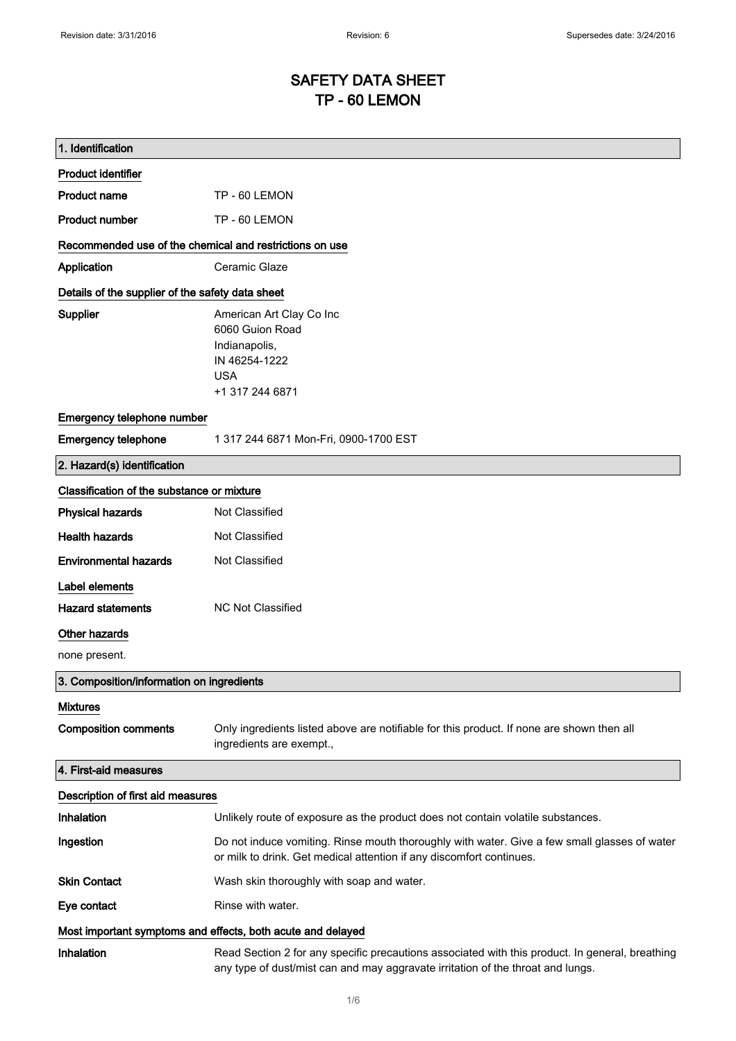# SAFETY DATA SHEET TP - 60 LEMON

| 1. Identification                                           |                                                                                                                                                                                    |
|-------------------------------------------------------------|------------------------------------------------------------------------------------------------------------------------------------------------------------------------------------|
| <b>Product identifier</b>                                   |                                                                                                                                                                                    |
| <b>Product name</b>                                         | TP - 60 LEMON                                                                                                                                                                      |
| <b>Product number</b>                                       | TP - 60 LEMON                                                                                                                                                                      |
| Recommended use of the chemical and restrictions on use     |                                                                                                                                                                                    |
| Application                                                 | Ceramic Glaze                                                                                                                                                                      |
| Details of the supplier of the safety data sheet            |                                                                                                                                                                                    |
| Supplier                                                    | American Art Clay Co Inc<br>6060 Guion Road<br>Indianapolis,<br>IN 46254-1222<br><b>USA</b><br>+1 317 244 6871                                                                     |
| Emergency telephone number                                  |                                                                                                                                                                                    |
| <b>Emergency telephone</b>                                  | 1 317 244 6871 Mon-Fri, 0900-1700 EST                                                                                                                                              |
| 2. Hazard(s) identification                                 |                                                                                                                                                                                    |
| Classification of the substance or mixture                  |                                                                                                                                                                                    |
| <b>Physical hazards</b>                                     | Not Classified                                                                                                                                                                     |
| <b>Health hazards</b>                                       | Not Classified                                                                                                                                                                     |
| <b>Environmental hazards</b>                                | Not Classified                                                                                                                                                                     |
| Label elements                                              |                                                                                                                                                                                    |
| <b>Hazard statements</b>                                    | <b>NC Not Classified</b>                                                                                                                                                           |
| Other hazards                                               |                                                                                                                                                                                    |
| none present.                                               |                                                                                                                                                                                    |
| 3. Composition/information on ingredients                   |                                                                                                                                                                                    |
| <b>Mixtures</b>                                             |                                                                                                                                                                                    |
| <b>Composition comments</b>                                 | Only ingredients listed above are notifiable for this product. If none are shown then all<br>ingredients are exempt.,                                                              |
| 4. First-aid measures                                       |                                                                                                                                                                                    |
| Description of first aid measures                           |                                                                                                                                                                                    |
| Inhalation                                                  | Unlikely route of exposure as the product does not contain volatile substances.                                                                                                    |
| Ingestion                                                   | Do not induce vomiting. Rinse mouth thoroughly with water. Give a few small glasses of water<br>or milk to drink. Get medical attention if any discomfort continues.               |
| <b>Skin Contact</b>                                         | Wash skin thoroughly with soap and water.                                                                                                                                          |
| Eye contact                                                 | Rinse with water.                                                                                                                                                                  |
| Most important symptoms and effects, both acute and delayed |                                                                                                                                                                                    |
| Inhalation                                                  | Read Section 2 for any specific precautions associated with this product. In general, breathing<br>any type of dust/mist can and may aggravate irritation of the throat and lungs. |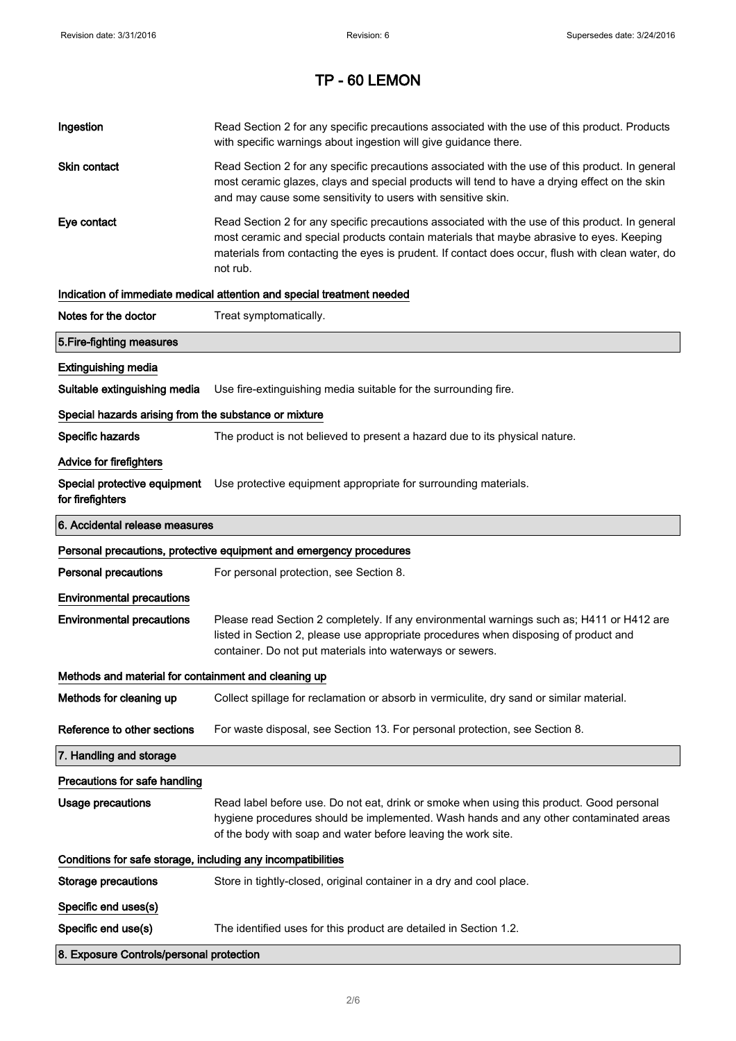| Ingestion                                                           | Read Section 2 for any specific precautions associated with the use of this product. Products<br>with specific warnings about ingestion will give guidance there.                                                                                                                                           |  |
|---------------------------------------------------------------------|-------------------------------------------------------------------------------------------------------------------------------------------------------------------------------------------------------------------------------------------------------------------------------------------------------------|--|
| Skin contact                                                        | Read Section 2 for any specific precautions associated with the use of this product. In general<br>most ceramic glazes, clays and special products will tend to have a drying effect on the skin<br>and may cause some sensitivity to users with sensitive skin.                                            |  |
| Eye contact                                                         | Read Section 2 for any specific precautions associated with the use of this product. In general<br>most ceramic and special products contain materials that maybe abrasive to eyes. Keeping<br>materials from contacting the eyes is prudent. If contact does occur, flush with clean water, do<br>not rub. |  |
|                                                                     | Indication of immediate medical attention and special treatment needed                                                                                                                                                                                                                                      |  |
| Notes for the doctor                                                | Treat symptomatically.                                                                                                                                                                                                                                                                                      |  |
| 5. Fire-fighting measures                                           |                                                                                                                                                                                                                                                                                                             |  |
| <b>Extinguishing media</b>                                          |                                                                                                                                                                                                                                                                                                             |  |
| Suitable extinguishing media                                        | Use fire-extinguishing media suitable for the surrounding fire.                                                                                                                                                                                                                                             |  |
| Special hazards arising from the substance or mixture               |                                                                                                                                                                                                                                                                                                             |  |
| Specific hazards                                                    | The product is not believed to present a hazard due to its physical nature.                                                                                                                                                                                                                                 |  |
| <b>Advice for firefighters</b>                                      |                                                                                                                                                                                                                                                                                                             |  |
| for firefighters                                                    | Special protective equipment Use protective equipment appropriate for surrounding materials.                                                                                                                                                                                                                |  |
| 6. Accidental release measures                                      |                                                                                                                                                                                                                                                                                                             |  |
| Personal precautions, protective equipment and emergency procedures |                                                                                                                                                                                                                                                                                                             |  |
|                                                                     |                                                                                                                                                                                                                                                                                                             |  |
| <b>Personal precautions</b>                                         | For personal protection, see Section 8.                                                                                                                                                                                                                                                                     |  |
| <b>Environmental precautions</b>                                    |                                                                                                                                                                                                                                                                                                             |  |
| <b>Environmental precautions</b>                                    | Please read Section 2 completely. If any environmental warnings such as; H411 or H412 are<br>listed in Section 2, please use appropriate procedures when disposing of product and<br>container. Do not put materials into waterways or sewers.                                                              |  |
| Methods and material for containment and cleaning up                |                                                                                                                                                                                                                                                                                                             |  |
| Methods for cleaning up                                             | Collect spillage for reclamation or absorb in vermiculite, dry sand or similar material.                                                                                                                                                                                                                    |  |
| Reference to other sections                                         | For waste disposal, see Section 13. For personal protection, see Section 8.                                                                                                                                                                                                                                 |  |
| 7. Handling and storage                                             |                                                                                                                                                                                                                                                                                                             |  |
| Precautions for safe handling                                       |                                                                                                                                                                                                                                                                                                             |  |
| <b>Usage precautions</b>                                            | Read label before use. Do not eat, drink or smoke when using this product. Good personal<br>hygiene procedures should be implemented. Wash hands and any other contaminated areas<br>of the body with soap and water before leaving the work site.                                                          |  |
| Conditions for safe storage, including any incompatibilities        |                                                                                                                                                                                                                                                                                                             |  |
| <b>Storage precautions</b>                                          | Store in tightly-closed, original container in a dry and cool place.                                                                                                                                                                                                                                        |  |
| Specific end uses(s)                                                |                                                                                                                                                                                                                                                                                                             |  |
| Specific end use(s)                                                 | The identified uses for this product are detailed in Section 1.2.                                                                                                                                                                                                                                           |  |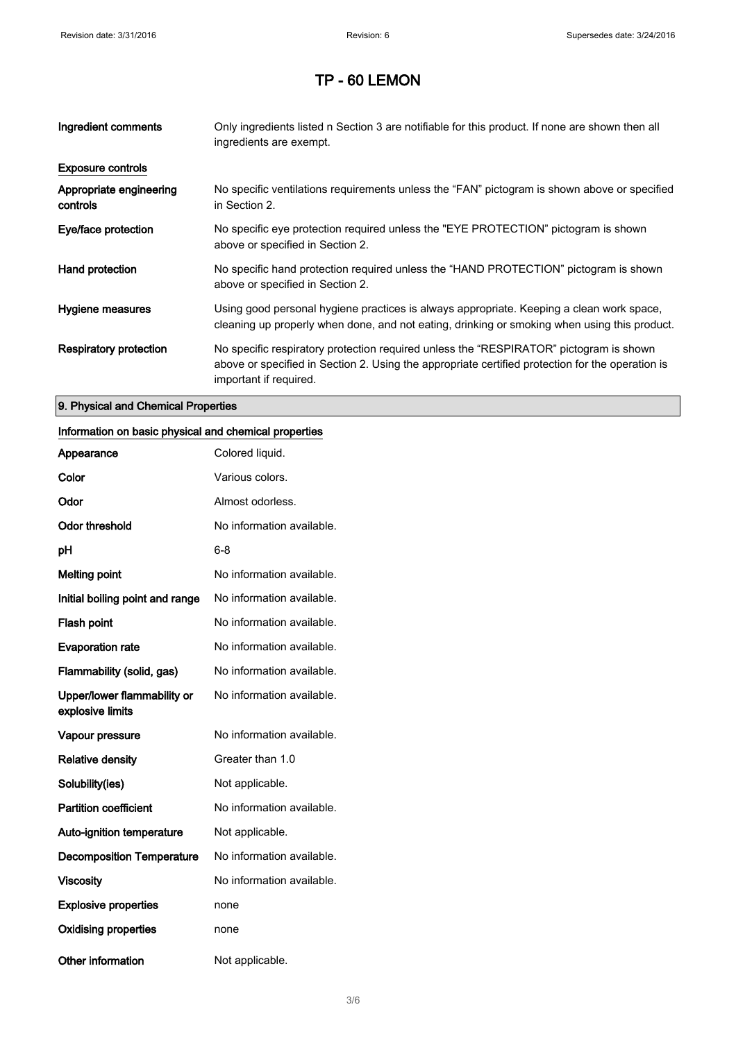| Ingredient comments                 | Only ingredients listed n Section 3 are notifiable for this product. If none are shown then all<br>ingredients are exempt.                                                                                           |
|-------------------------------------|----------------------------------------------------------------------------------------------------------------------------------------------------------------------------------------------------------------------|
| <b>Exposure controls</b>            |                                                                                                                                                                                                                      |
| Appropriate engineering<br>controls | No specific ventilations requirements unless the "FAN" pictogram is shown above or specified<br>in Section 2.                                                                                                        |
| Eye/face protection                 | No specific eye protection required unless the "EYE PROTECTION" pictogram is shown<br>above or specified in Section 2.                                                                                               |
| Hand protection                     | No specific hand protection required unless the "HAND PROTECTION" pictogram is shown<br>above or specified in Section 2.                                                                                             |
| Hygiene measures                    | Using good personal hygiene practices is always appropriate. Keeping a clean work space,<br>cleaning up properly when done, and not eating, drinking or smoking when using this product.                             |
| <b>Respiratory protection</b>       | No specific respiratory protection required unless the "RESPIRATOR" pictogram is shown<br>above or specified in Section 2. Using the appropriate certified protection for the operation is<br>important if required. |

#### 9. Physical and Chemical Properties

### Information on basic physical and chemical properties

| Appearance                                      | Colored liquid.           |
|-------------------------------------------------|---------------------------|
| Color                                           | Various colors.           |
| Odor                                            | Almost odorless.          |
| <b>Odor threshold</b>                           | No information available. |
| рH                                              | 6-8                       |
| <b>Melting point</b>                            | No information available. |
| Initial boiling point and range                 | No information available. |
| <b>Flash point</b>                              | No information available. |
| <b>Evaporation rate</b>                         | No information available. |
| Flammability (solid, gas)                       | No information available. |
| Upper/lower flammability or<br>explosive limits | No information available. |
| Vapour pressure                                 | No information available. |
| <b>Relative density</b>                         | Greater than 1.0          |
| Solubility(ies)                                 | Not applicable.           |
| <b>Partition coefficient</b>                    | No information available. |
| <b>Auto-ignition temperature</b>                | Not applicable.           |
| <b>Decomposition Temperature</b>                | No information available. |
| <b>Viscosity</b>                                | No information available. |
| <b>Explosive properties</b>                     | none                      |
| <b>Oxidising properties</b>                     | none                      |
| Other information                               | Not applicable.           |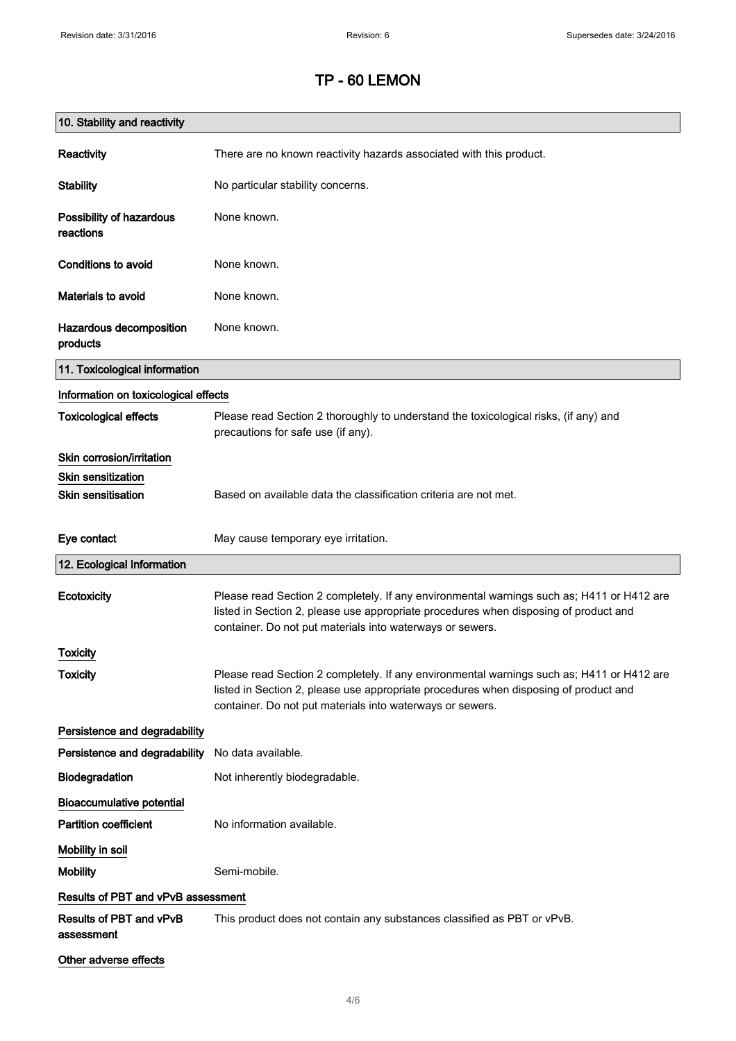| 10. Stability and reactivity          |                                                                                                                                                                                                                                                |
|---------------------------------------|------------------------------------------------------------------------------------------------------------------------------------------------------------------------------------------------------------------------------------------------|
| Reactivity                            | There are no known reactivity hazards associated with this product.                                                                                                                                                                            |
| <b>Stability</b>                      | No particular stability concerns.                                                                                                                                                                                                              |
| Possibility of hazardous<br>reactions | None known.                                                                                                                                                                                                                                    |
| <b>Conditions to avoid</b>            | None known.                                                                                                                                                                                                                                    |
| <b>Materials to avoid</b>             | None known.                                                                                                                                                                                                                                    |
| Hazardous decomposition<br>products   | None known.                                                                                                                                                                                                                                    |
| 11. Toxicological information         |                                                                                                                                                                                                                                                |
| Information on toxicological effects  |                                                                                                                                                                                                                                                |
| <b>Toxicological effects</b>          | Please read Section 2 thoroughly to understand the toxicological risks, (if any) and<br>precautions for safe use (if any).                                                                                                                     |
| Skin corrosion/irritation             |                                                                                                                                                                                                                                                |
| <b>Skin sensitization</b>             |                                                                                                                                                                                                                                                |
| <b>Skin sensitisation</b>             | Based on available data the classification criteria are not met.                                                                                                                                                                               |
| Eye contact                           | May cause temporary eye irritation.                                                                                                                                                                                                            |
| 12. Ecological Information            |                                                                                                                                                                                                                                                |
| Ecotoxicity                           | Please read Section 2 completely. If any environmental warnings such as; H411 or H412 are<br>listed in Section 2, please use appropriate procedures when disposing of product and<br>container. Do not put materials into waterways or sewers. |
| <b>Toxicity</b>                       |                                                                                                                                                                                                                                                |
| <b>Toxicity</b>                       | Please read Section 2 completely. If any environmental warnings such as; H411 or H412 are<br>listed in Section 2, please use appropriate procedures when disposing of product and<br>container. Do not put materials into waterways or sewers. |
| Persistence and degradability         |                                                                                                                                                                                                                                                |
| Persistence and degradability         | No data available.                                                                                                                                                                                                                             |
| Biodegradation                        | Not inherently biodegradable.                                                                                                                                                                                                                  |
| <b>Bioaccumulative potential</b>      |                                                                                                                                                                                                                                                |
| <b>Partition coefficient</b>          | No information available.                                                                                                                                                                                                                      |
| Mobility in soil                      |                                                                                                                                                                                                                                                |
| <b>Mobility</b>                       | Semi-mobile.                                                                                                                                                                                                                                   |
| Results of PBT and vPvB assessment    |                                                                                                                                                                                                                                                |
| Results of PBT and vPvB<br>assessment | This product does not contain any substances classified as PBT or vPvB.                                                                                                                                                                        |
| Other adverse effects                 |                                                                                                                                                                                                                                                |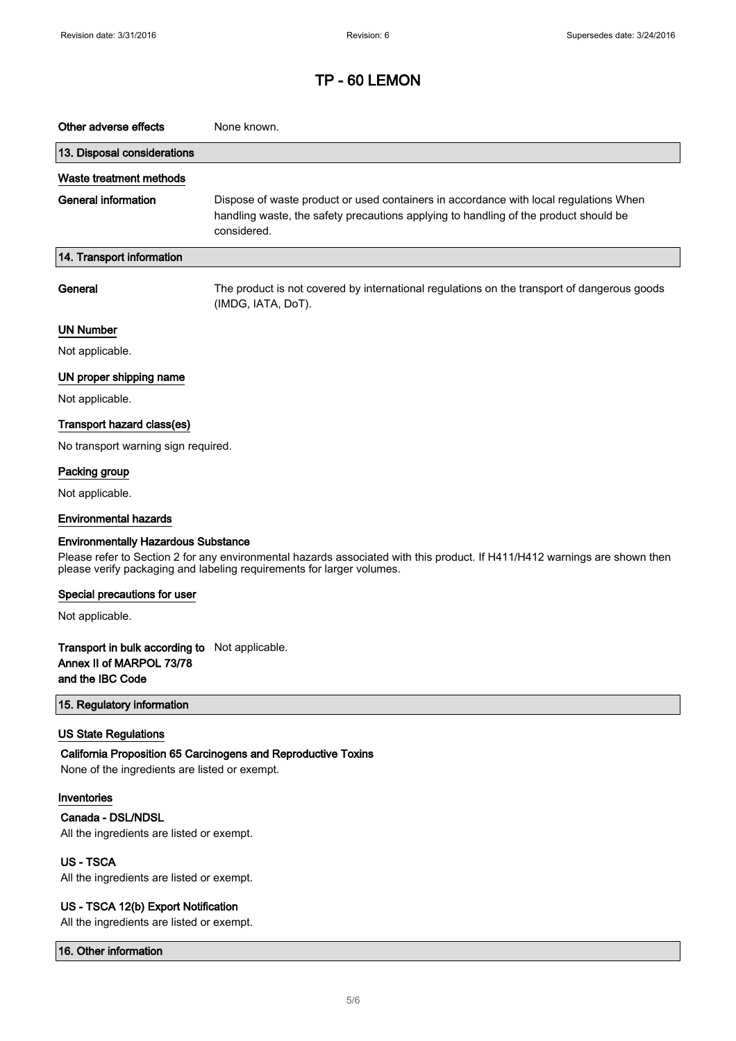| Other adverse effects                                                                          | None known.                                                                                                                                                                                         |
|------------------------------------------------------------------------------------------------|-----------------------------------------------------------------------------------------------------------------------------------------------------------------------------------------------------|
| 13. Disposal considerations                                                                    |                                                                                                                                                                                                     |
| Waste treatment methods                                                                        |                                                                                                                                                                                                     |
| <b>General information</b>                                                                     | Dispose of waste product or used containers in accordance with local regulations When<br>handling waste, the safety precautions applying to handling of the product should be<br>considered.        |
| 14. Transport information                                                                      |                                                                                                                                                                                                     |
| General                                                                                        | The product is not covered by international regulations on the transport of dangerous goods<br>(IMDG, IATA, DoT).                                                                                   |
| <b>UN Number</b>                                                                               |                                                                                                                                                                                                     |
| Not applicable.                                                                                |                                                                                                                                                                                                     |
| UN proper shipping name                                                                        |                                                                                                                                                                                                     |
| Not applicable.                                                                                |                                                                                                                                                                                                     |
| Transport hazard class(es)                                                                     |                                                                                                                                                                                                     |
| No transport warning sign required.                                                            |                                                                                                                                                                                                     |
| Packing group                                                                                  |                                                                                                                                                                                                     |
| Not applicable.                                                                                |                                                                                                                                                                                                     |
| <b>Environmental hazards</b>                                                                   |                                                                                                                                                                                                     |
| <b>Environmentally Hazardous Substance</b>                                                     | Please refer to Section 2 for any environmental hazards associated with this product. If H411/H412 warnings are shown then<br>please verify packaging and labeling requirements for larger volumes. |
| Special precautions for user                                                                   |                                                                                                                                                                                                     |
| Not applicable.                                                                                |                                                                                                                                                                                                     |
| Transport in bulk according to Not applicable.<br>Annex II of MARPOL 73/78<br>and the IBC Code |                                                                                                                                                                                                     |
| 15. Regulatory information                                                                     |                                                                                                                                                                                                     |
| <b>US State Regulations</b><br>None of the ingredients are listed or exempt.                   | California Proposition 65 Carcinogens and Reproductive Toxins                                                                                                                                       |
| Inventories<br>Canada - DSL/NDSL<br>All the ingredients are listed or exempt.                  |                                                                                                                                                                                                     |
| US-TSCA<br>All the ingredients are listed or exempt.                                           |                                                                                                                                                                                                     |
| US - TSCA 12(b) Export Notification<br>All the ingredients are listed or exempt.               |                                                                                                                                                                                                     |

16. Other information